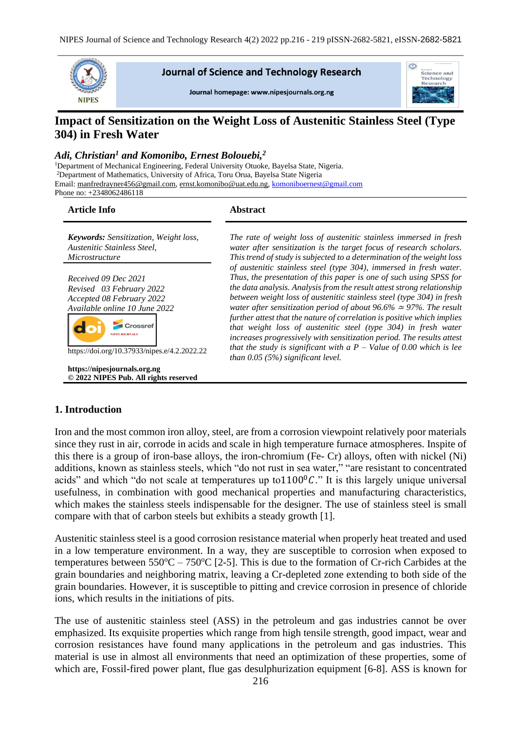

### **Journal of Science and Technology Research**

Journal homepage: www.nipesjournals.org.ng



# **Impact of Sensitization on the Weight Loss of Austenitic Stainless Steel (Type 304) in Fresh Water**

#### *Adi, Christian<sup>1</sup> and Komonibo, Ernest Bolouebi,<sup>2</sup>*

<sup>1</sup>Department of Mechanical Engineering, Federal University Otuoke, Bayelsa State, Nigeria. <sup>2</sup>Department of Mathematics, University of Africa, Toru Orua, Bayelsa State Nigeria Email: [manfredrayner456@gmail.com,](mailto:manfredrayner456@gmail.com) [ernst.komonibo@uat.edu.ng,](mailto:ernst.komonibo@uat.edu.ng) komoniboernest@gmail.com Phone no: +2348062486118

#### **Article Info Abstract**

*Keywords: Sensitization, Weight loss, Austenitic Stainless Steel, Microstructure*

*Received 09 Dec 2021 Revised 03 February 2022 Accepted 08 February 2022 Available online 10 June 2022*

https://doi.org/10.37933/nipes.e/4.2.2022.22

Crossref NIPES JOURNALS

**https://nipesjournals.org.ng © 2022 NIPES Pub. All rights reserved**

*The rate of weight loss of austenitic stainless immersed in fresh water after sensitization is the target focus of research scholars. This trend of study is subjected to a determination of the weight loss of austenitic stainless steel (type 304), immersed in fresh water. Thus, the presentation of this paper is one of such using SPSS for the data analysis. Analysis from the result attest strong relationship between weight loss of austenitic stainless steel (type 304) in fresh water after sensitization period of about 96.6%* <sup>≃</sup> *97%. The result further attest that the nature of correlation is positive which implies that weight loss of austenitic steel (type 304) in fresh water increases progressively with sensitization period. The results attest that the study is significant with a P – Value of 0.00 which is lee than 0.05 (5%) significant level.*

### **1. Introduction**

Iron and the most common iron alloy, steel, are from a corrosion viewpoint relatively poor materials since they rust in air, corrode in acids and scale in high temperature furnace atmospheres. Inspite of this there is a group of iron-base alloys, the iron-chromium (Fe- Cr) alloys, often with nickel (Ni) additions, known as stainless steels, which "do not rust in sea water," "are resistant to concentrated acids" and which "do not scale at temperatures up to  $1100^{\circ}$ C." It is this largely unique universal usefulness, in combination with good mechanical properties and manufacturing characteristics, which makes the stainless steels indispensable for the designer. The use of stainless steel is small compare with that of carbon steels but exhibits a steady growth [1].

Austenitic stainless steel is a good corrosion resistance material when properly heat treated and used in a low temperature environment. In a way, they are susceptible to corrosion when exposed to temperatures between  $550^{\circ}\text{C} - 750^{\circ}\text{C}$  [2-5]. This is due to the formation of Cr-rich Carbides at the grain boundaries and neighboring matrix, leaving a Cr-depleted zone extending to both side of the grain boundaries. However, it is susceptible to pitting and crevice corrosion in presence of chloride ions, which results in the initiations of pits.

The use of austenitic stainless steel (ASS) in the petroleum and gas industries cannot be over emphasized. Its exquisite properties which range from high tensile strength, good impact, wear and corrosion resistances have found many applications in the petroleum and gas industries. This material is use in almost all environments that need an optimization of these properties, some of which are, Fossil-fired power plant, flue gas desulphurization equipment [6-8]. ASS is known for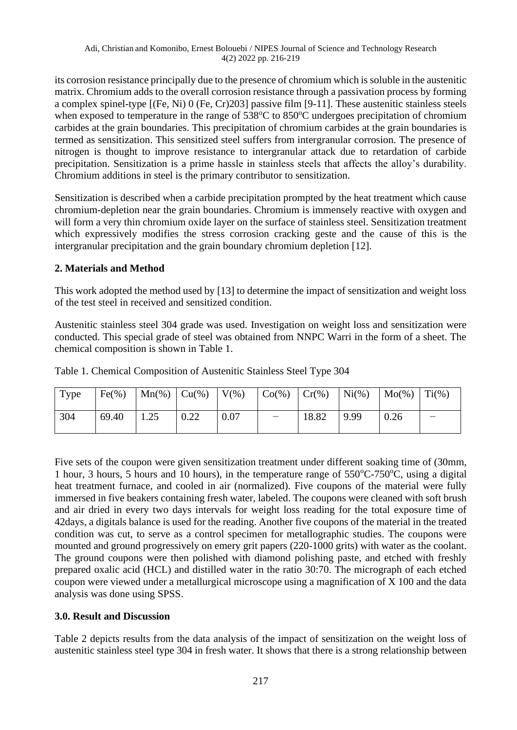its corrosion resistance principally due to the presence of chromium which is soluble in the austenitic matrix. Chromium adds to the overall corrosion resistance through a passivation process by forming a complex spinel-type [(Fe, Ni) 0 (Fe, Cr)203] passive film [9-11]. These austenitic stainless steels when exposed to temperature in the range of  $538^{\circ}$ C to  $850^{\circ}$ C undergoes precipitation of chromium carbides at the grain boundaries. This precipitation of chromium carbides at the grain boundaries is termed as sensitization. This sensitized steel suffers from intergranular corrosion. The presence of nitrogen is thought to improve resistance to intergranular attack due to retardation of carbide precipitation. Sensitization is a prime hassle in stainless steels that affects the alloy's durability. Chromium additions in steel is the primary contributor to sensitization.

Sensitization is described when a carbide precipitation prompted by the heat treatment which cause chromium-depletion near the grain boundaries. Chromium is immensely reactive with oxygen and will form a very thin chromium oxide layer on the surface of stainless steel. Sensitization treatment which expressively modifies the stress corrosion cracking geste and the cause of this is the intergranular precipitation and the grain boundary chromium depletion [12].

# **2. Materials and Method**

This work adopted the method used by [13] to determine the impact of sensitization and weight loss of the test steel in received and sensitized condition.

Austenitic stainless steel 304 grade was used. Investigation on weight loss and sensitization were conducted. This special grade of steel was obtained from NNPC Warri in the form of a sheet. The chemical composition is shown in Table 1.

| Type | $Fe(\%)$ | $\text{Mn}(\%)$ $\text{Cu}(\%)$ |      | $\mid V(\%)$ | $Co(\% )$ | $Cr(\%)$ | $Ni(\%)$ | $Mo(\%)$ | $Ti(\%)$ |
|------|----------|---------------------------------|------|--------------|-----------|----------|----------|----------|----------|
| 304  | 69.40    | 1.25                            | 0.22 | 0.07         |           | 18.82    | 9.99     | 0.26     |          |

Table 1. Chemical Composition of Austenitic Stainless Steel Type 304

Five sets of the coupon were given sensitization treatment under different soaking time of (30mm, 1 hour, 3 hours, 5 hours and 10 hours), in the temperature range of  $550^{\circ}$ C-750<sup>o</sup>C, using a digital heat treatment furnace, and cooled in air (normalized). Five coupons of the material were fully immersed in five beakers containing fresh water, labeled. The coupons were cleaned with soft brush and air dried in every two days intervals for weight loss reading for the total exposure time of 42days, a digitals balance is used for the reading. Another five coupons of the material in the treated condition was cut, to serve as a control specimen for metallographic studies. The coupons were mounted and ground progressively on emery grit papers (220-1000 grits) with water as the coolant. The ground coupons were then polished with diamond polishing paste, and etched with freshly prepared oxalic acid (HCL) and distilled water in the ratio 30:70. The micrograph of each etched coupon were viewed under a metallurgical microscope using a magnification of X 100 and the data analysis was done using SPSS.

## **3.0. Result and Discussion**

Table 2 depicts results from the data analysis of the impact of sensitization on the weight loss of austenitic stainless steel type 304 in fresh water. It shows that there is a strong relationship between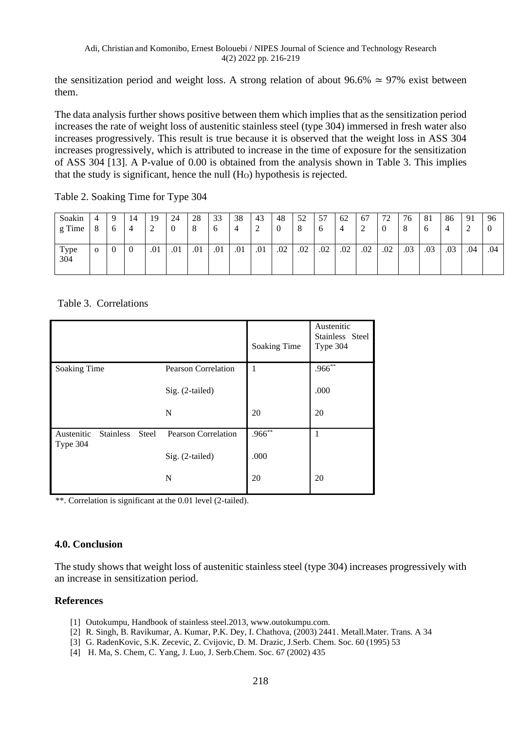the sensitization period and weight loss. A strong relation of about 96.6%  $\simeq$  97% exist between them.

The data analysis further shows positive between them which implies that as the sensitization period increases the rate of weight loss of austenitic stainless steel (type 304) immersed in fresh water also increases progressively. This result is true because it is observed that the weight loss in ASS 304 increases progressively, which is attributed to increase in the time of exposure for the sensitization of ASS 304 [13]. A P-value of 0.00 is obtained from the analysis shown in Table 3. This implies that the study is significant, hence the null  $(H<sub>O</sub>)$  hypothesis is rejected.

Table 2. Soaking Time for Type 304

| Soakin<br>g Time | 4<br>8       | 4   | 19<br>∠ | 24<br>ν | 28<br>$\circ$ | 33<br>O | 38<br>4 | 43  | 48<br>$\theta$ | 52<br>8 | 57<br>6 | 62<br>4 | 67<br>∽ | 72  | 76<br>8 | 81<br>O | 86  | 91  | 96  |
|------------------|--------------|-----|---------|---------|---------------|---------|---------|-----|----------------|---------|---------|---------|---------|-----|---------|---------|-----|-----|-----|
| Type<br>304      | $\mathbf{O}$ | - 6 | .01     | .01     | .01           | .01     | .01     | .01 | .02            | .02     | .02     | .02     | .02     | .02 | .03     | .03     | .03 | .04 | .04 |

Table 3. Correlations

|                        |                  |       |                            | Soaking Time | Austenitic<br>Stainless Steel<br>Type 304 |
|------------------------|------------------|-------|----------------------------|--------------|-------------------------------------------|
| Soaking Time           |                  |       | <b>Pearson Correlation</b> | 1            | $.966**$                                  |
|                        |                  |       | Sig. (2-tailed)            |              | .000                                      |
|                        |                  |       | N                          | 20           | 20                                        |
| Austenitic<br>Type 304 | <b>Stainless</b> | Steel | <b>Pearson Correlation</b> | $.966**$     | $\mathbf{1}$                              |
|                        |                  |       | Sig. (2-tailed)            | .000         |                                           |
|                        |                  |       | N                          | 20           | 20                                        |

\*\*. Correlation is significant at the 0.01 level (2-tailed).

### **4.0. Conclusion**

The study shows that weight loss of austenitic stainless steel (type 304) increases progressively with an increase in sensitization period.

### **References**

- [1] Outokumpu, Handbook of stainless steel.2013, www.outokumpu.com.
- [2] R. Singh, B. Ravikumar, A. Kumar, P.K. Dey, I. Chathova, (2003) 2441. Metall.Mater. Trans. A 34
- [3] G. RadenKovic, S.K. Zecevic, Z. Cvijovic, D. M. Drazic, J.Serb. Chem. Soc. 60 (1995) 53
- [4] H. Ma, S. Chem, C. Yang, J. Luo, J. Serb.Chem. Soc. 67 (2002) 435